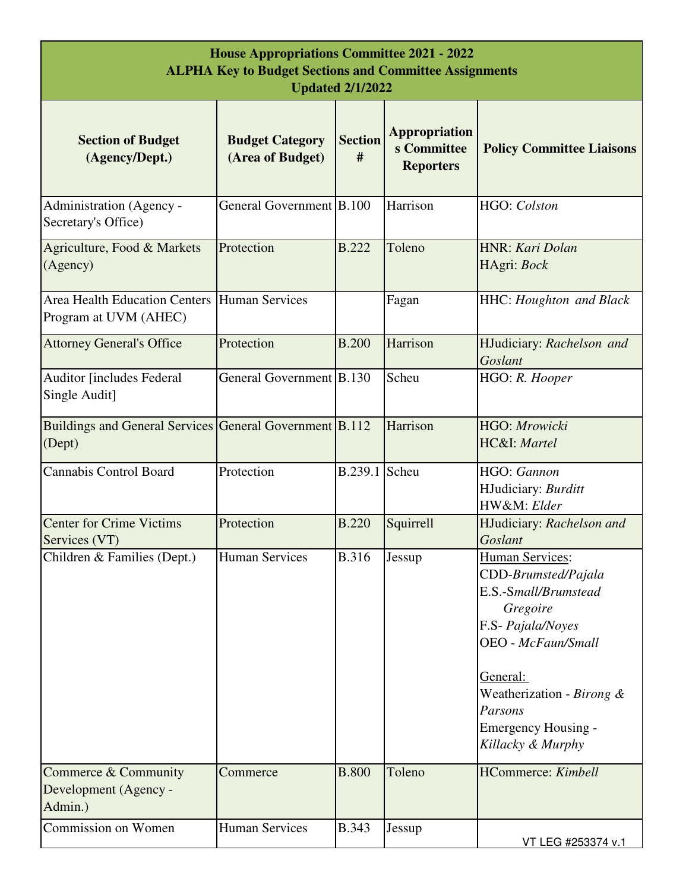| <b>House Appropriations Committee 2021 - 2022</b><br><b>ALPHA Key to Budget Sections and Committee Assignments</b><br><b>Updated 2/1/2022</b> |                                            |                     |                                                         |                                                                                                                                                                                                                                            |
|-----------------------------------------------------------------------------------------------------------------------------------------------|--------------------------------------------|---------------------|---------------------------------------------------------|--------------------------------------------------------------------------------------------------------------------------------------------------------------------------------------------------------------------------------------------|
| <b>Section of Budget</b><br>(Agency/Dept.)                                                                                                    | <b>Budget Category</b><br>(Area of Budget) | <b>Section</b><br># | <b>Appropriation</b><br>s Committee<br><b>Reporters</b> | <b>Policy Committee Liaisons</b>                                                                                                                                                                                                           |
| Administration (Agency -<br>Secretary's Office)                                                                                               | General Government B.100                   |                     | Harrison                                                | HGO: Colston                                                                                                                                                                                                                               |
| Agriculture, Food & Markets<br>(Agency)                                                                                                       | Protection                                 | <b>B.222</b>        | Toleno                                                  | HNR: Kari Dolan<br>HAgri: Bock                                                                                                                                                                                                             |
| Area Health Education Centers Human Services<br>Program at UVM (AHEC)                                                                         |                                            |                     | Fagan                                                   | HHC: Houghton and Black                                                                                                                                                                                                                    |
| <b>Attorney General's Office</b>                                                                                                              | Protection                                 | <b>B.200</b>        | Harrison                                                | HJudiciary: Rachelson and<br>Goslant                                                                                                                                                                                                       |
| <b>Auditor [includes Federal</b><br>Single Audit]                                                                                             | General Government B.130                   |                     | Scheu                                                   | HGO: R. Hooper                                                                                                                                                                                                                             |
| Buildings and General Services General Government B.112<br>(Dept)                                                                             |                                            |                     | Harrison                                                | HGO: Mrowicki<br>HC&I: Martel                                                                                                                                                                                                              |
| <b>Cannabis Control Board</b>                                                                                                                 | Protection                                 | B.239.1             | Scheu                                                   | HGO: Gannon<br>HJudiciary: Burditt<br>HW&M: Elder                                                                                                                                                                                          |
| <b>Center for Crime Victims</b><br>Services (VT)                                                                                              | Protection                                 | <b>B.220</b>        | Squirrell                                               | HJudiciary: Rachelson and<br>Goslant                                                                                                                                                                                                       |
| Children & Families (Dept.)                                                                                                                   | <b>Human Services</b>                      | <b>B.316</b>        | Jessup                                                  | <b>Human Services:</b><br>CDD-Brumsted/Pajala<br>E.S.-Small/Brumstead<br>Gregoire<br>F.S- Pajala/Noyes<br><b>OEO</b> - McFaun/Small<br>General:<br>Weatherization - Birong &<br>Parsons<br><b>Emergency Housing -</b><br>Killacky & Murphy |
| Commerce & Community<br>Development (Agency -                                                                                                 | Commerce                                   | <b>B.800</b>        | Toleno                                                  | <b>HCommerce:</b> Kimbell                                                                                                                                                                                                                  |
| Admin.)<br>Commission on Women                                                                                                                | <b>Human Services</b>                      | <b>B.343</b>        |                                                         |                                                                                                                                                                                                                                            |
|                                                                                                                                               |                                            |                     | Jessup                                                  | VT LEG #253374 v.1                                                                                                                                                                                                                         |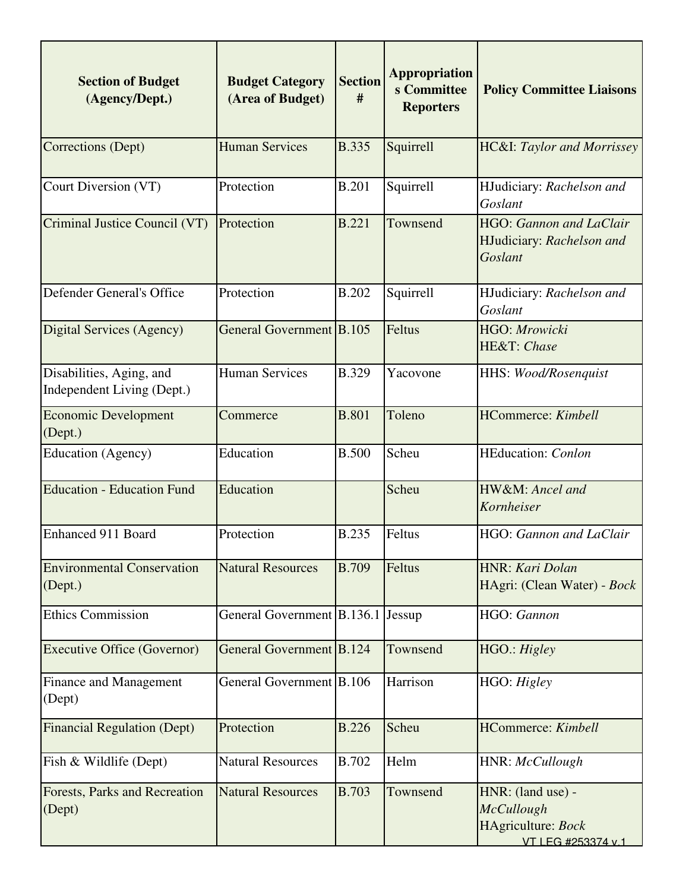| <b>Section of Budget</b><br>(Agency/Dept.)             | <b>Budget Category</b><br>(Area of Budget) | <b>Section</b><br># | <b>Appropriation</b><br>s Committee<br><b>Reporters</b> | <b>Policy Committee Liaisons</b>                                                   |
|--------------------------------------------------------|--------------------------------------------|---------------------|---------------------------------------------------------|------------------------------------------------------------------------------------|
| Corrections (Dept)                                     | <b>Human Services</b>                      | <b>B.335</b>        | Squirrell                                               | <b>HC&amp;I:</b> Taylor and Morrissey                                              |
| Court Diversion (VT)                                   | Protection                                 | <b>B.201</b>        | Squirrell                                               | HJudiciary: Rachelson and<br>Goslant                                               |
| Criminal Justice Council (VT)                          | Protection                                 | <b>B.221</b>        | Townsend                                                | HGO: Gannon and LaClair<br>HJudiciary: Rachelson and<br>Goslant                    |
| Defender General's Office                              | Protection                                 | <b>B.202</b>        | Squirrell                                               | HJudiciary: Rachelson and<br>Goslant                                               |
| Digital Services (Agency)                              | General Government B.105                   |                     | Feltus                                                  | HGO: Mrowicki<br>HE&T: Chase                                                       |
| Disabilities, Aging, and<br>Independent Living (Dept.) | <b>Human Services</b>                      | <b>B.329</b>        | Yacovone                                                | HHS: Wood/Rosenquist                                                               |
| <b>Economic Development</b><br>(Dept.)                 | Commerce                                   | <b>B.801</b>        | Toleno                                                  | HCommerce: Kimbell                                                                 |
| <b>Education</b> (Agency)                              | Education                                  | <b>B.500</b>        | Scheu                                                   | HEducation: Conlon                                                                 |
| <b>Education - Education Fund</b>                      | Education                                  |                     | Scheu                                                   | HW&M: Ancel and<br>Kornheiser                                                      |
| <b>Enhanced 911 Board</b>                              | Protection                                 | <b>B.235</b>        | Feltus                                                  | HGO: Gannon and LaClair                                                            |
| <b>Environmental Conservation</b><br>(Dept.)           | <b>Natural Resources</b>                   | <b>B.709</b>        | Feltus                                                  | HNR: Kari Dolan<br>HAgri: (Clean Water) - Bock                                     |
| <b>Ethics Commission</b>                               | General Government B.136.1 Jessup          |                     |                                                         | HGO: Gannon                                                                        |
| <b>Executive Office (Governor)</b>                     | General Government B.124                   |                     | Townsend                                                | HGO.: Higley                                                                       |
| <b>Finance and Management</b><br>(Dept)                | General Government B.106                   |                     | Harrison                                                | HGO: Higley                                                                        |
| <b>Financial Regulation (Dept)</b>                     | Protection                                 | <b>B.226</b>        | Scheu                                                   | <b>HCommerce:</b> Kimbell                                                          |
| Fish & Wildlife (Dept)                                 | <b>Natural Resources</b>                   | <b>B.702</b>        | Helm                                                    | HNR: McCullough                                                                    |
| Forests, Parks and Recreation<br>(Dept)                | <b>Natural Resources</b>                   | <b>B.703</b>        | Townsend                                                | HNR: (land use) -<br><b>McCullough</b><br>HAgriculture: Bock<br>VT LEG #253374 v.1 |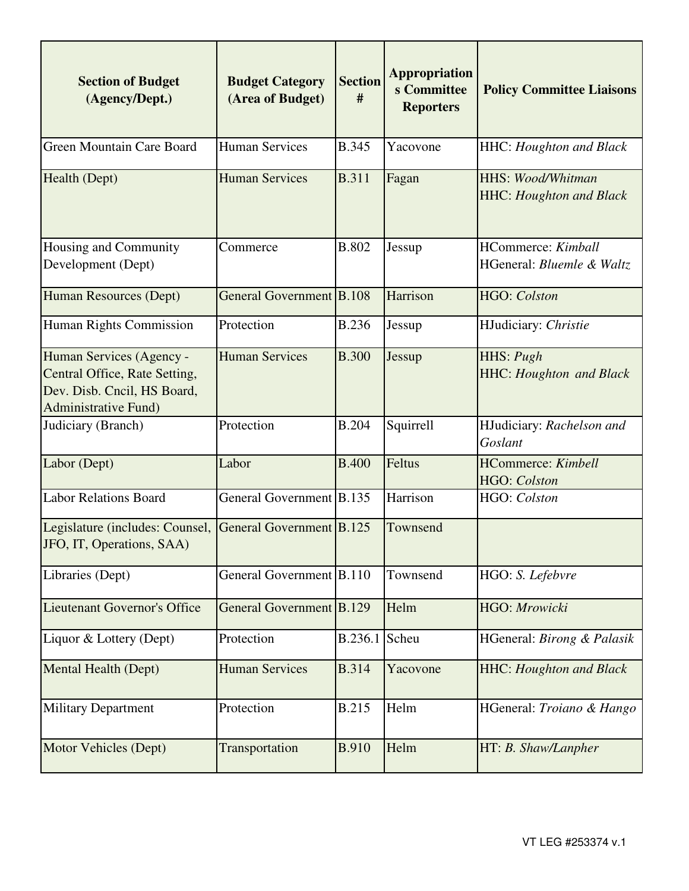| <b>Section of Budget</b><br>(Agency/Dept.)                                                                               | <b>Budget Category</b><br>(Area of Budget) | <b>Section</b><br># | <b>Appropriation</b><br>s Committee<br><b>Reporters</b> | <b>Policy Committee Liaisons</b>                           |
|--------------------------------------------------------------------------------------------------------------------------|--------------------------------------------|---------------------|---------------------------------------------------------|------------------------------------------------------------|
| Green Mountain Care Board                                                                                                | <b>Human Services</b>                      | <b>B.345</b>        | Yacovone                                                | HHC: Houghton and Black                                    |
| Health (Dept)                                                                                                            | <b>Human Services</b>                      | <b>B.311</b>        | Fagan                                                   | <b>HHS: Wood/Whitman</b><br><b>HHC:</b> Houghton and Black |
| Housing and Community<br>Development (Dept)                                                                              | Commerce                                   | <b>B.802</b>        | Jessup                                                  | <b>HCommerce:</b> Kimball<br>HGeneral: Bluemle & Waltz     |
| Human Resources (Dept)                                                                                                   | General Government B.108                   |                     | Harrison                                                | HGO: Colston                                               |
| Human Rights Commission                                                                                                  | Protection                                 | <b>B.236</b>        | Jessup                                                  | HJudiciary: Christie                                       |
| Human Services (Agency -<br>Central Office, Rate Setting,<br>Dev. Disb. Cncil, HS Board,<br><b>Administrative Fund</b> ) | <b>Human Services</b>                      | <b>B.300</b>        | Jessup                                                  | HHS: Pugh<br><b>HHC: Houghton and Black</b>                |
| Judiciary (Branch)                                                                                                       | Protection                                 | <b>B.204</b>        | Squirrell                                               | HJudiciary: Rachelson and<br>Goslant                       |
| Labor (Dept)                                                                                                             | Labor                                      | <b>B.400</b>        | Feltus                                                  | <b>HCommerce:</b> Kimbell<br>HGO: Colston                  |
| <b>Labor Relations Board</b>                                                                                             | General Government B.135                   |                     | Harrison                                                | HGO: Colston                                               |
| Legislature (includes: Counsel,<br>JFO, IT, Operations, SAA)                                                             | General Government B.125                   |                     | Townsend                                                |                                                            |
| Libraries (Dept)                                                                                                         | General Government B.110                   |                     | Townsend                                                | HGO: S. Lefebvre                                           |
| Lieutenant Governor's Office                                                                                             | General Government B.129                   |                     | Helm                                                    | HGO: Mrowicki                                              |
| Liquor & Lottery (Dept)                                                                                                  | Protection                                 | B.236.1             | Scheu                                                   | HGeneral: Birong & Palasik                                 |
| Mental Health (Dept)                                                                                                     | <b>Human Services</b>                      | <b>B.314</b>        | Yacovone                                                | <b>HHC: Houghton and Black</b>                             |
| <b>Military Department</b>                                                                                               | Protection                                 | <b>B.215</b>        | Helm                                                    | HGeneral: Troiano & Hango                                  |
| Motor Vehicles (Dept)                                                                                                    | Transportation                             | <b>B.910</b>        | Helm                                                    | HT: B. Shaw/Lanpher                                        |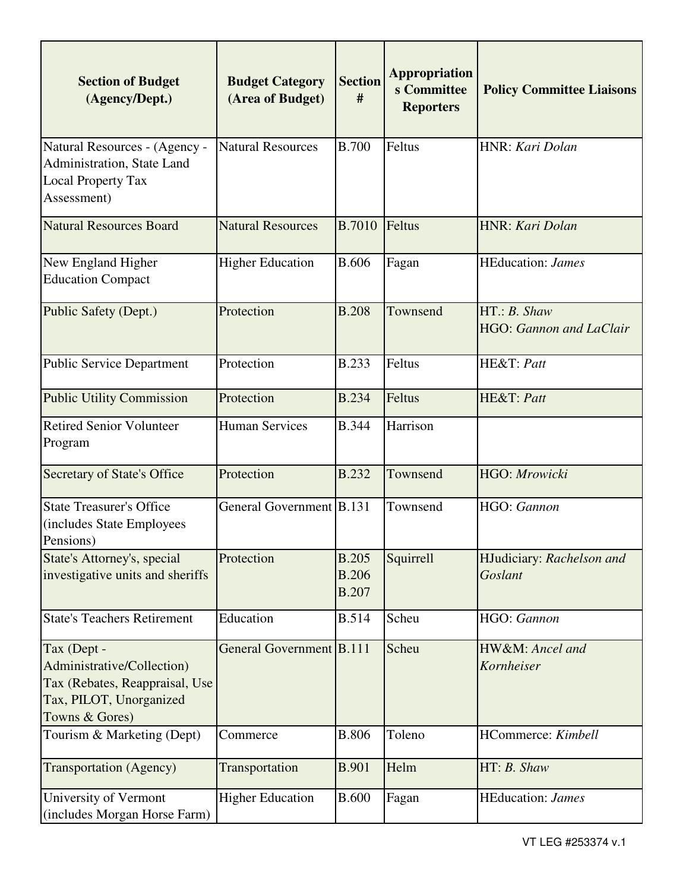| <b>Section of Budget</b><br>(Agency/Dept.)                                                                               | <b>Budget Category</b><br>(Area of Budget) | <b>Section</b><br>#                          | <b>Appropriation</b><br>s Committee<br><b>Reporters</b> | <b>Policy Committee Liaisons</b>       |
|--------------------------------------------------------------------------------------------------------------------------|--------------------------------------------|----------------------------------------------|---------------------------------------------------------|----------------------------------------|
| Natural Resources - (Agency -<br>Administration, State Land<br><b>Local Property Tax</b><br>Assessment)                  | <b>Natural Resources</b>                   | <b>B.700</b>                                 | Feltus                                                  | HNR: Kari Dolan                        |
| <b>Natural Resources Board</b>                                                                                           | <b>Natural Resources</b>                   | <b>B.7010</b>                                | Feltus                                                  | HNR: Kari Dolan                        |
| New England Higher<br><b>Education Compact</b>                                                                           | <b>Higher Education</b>                    | <b>B.606</b>                                 | Fagan                                                   | <b>HEducation:</b> James               |
| Public Safety (Dept.)                                                                                                    | Protection                                 | <b>B.208</b>                                 | Townsend                                                | HT: B. Shaw<br>HGO: Gannon and LaClair |
| <b>Public Service Department</b>                                                                                         | Protection                                 | <b>B.233</b>                                 | Feltus                                                  | HE&T: Patt                             |
| <b>Public Utility Commission</b>                                                                                         | Protection                                 | <b>B.234</b>                                 | Feltus                                                  | HE&T: Patt                             |
| <b>Retired Senior Volunteer</b><br>Program                                                                               | <b>Human Services</b>                      | <b>B.344</b>                                 | Harrison                                                |                                        |
| <b>Secretary of State's Office</b>                                                                                       | Protection                                 | <b>B.232</b>                                 | Townsend                                                | HGO: Mrowicki                          |
| <b>State Treasurer's Office</b><br>(includes State Employees<br>Pensions)                                                | General Government B.131                   |                                              | Townsend                                                | HGO: Gannon                            |
| State's Attorney's, special<br>investigative units and sheriffs                                                          | Protection                                 | <b>B.205</b><br><b>B.206</b><br><b>B.207</b> | Squirrell                                               | HJudiciary: Rachelson and<br>Goslant   |
| <b>State's Teachers Retirement</b>                                                                                       | Education                                  | <b>B.514</b>                                 | Scheu                                                   | HGO: Gannon                            |
| Tax (Dept -<br>Administrative/Collection)<br>Tax (Rebates, Reappraisal, Use<br>Tax, PILOT, Unorganized<br>Towns & Gores) | General Government B.111                   |                                              | Scheu                                                   | HW&M: Ancel and<br>Kornheiser          |
| Tourism & Marketing (Dept)                                                                                               | Commerce                                   | <b>B.806</b>                                 | Toleno                                                  | HCommerce: Kimbell                     |
| <b>Transportation</b> (Agency)                                                                                           | Transportation                             | <b>B.901</b>                                 | Helm                                                    | HT: B. Shaw                            |
| University of Vermont<br>(includes Morgan Horse Farm)                                                                    | <b>Higher Education</b>                    | <b>B.600</b>                                 | Fagan                                                   | <b>HEducation:</b> James               |